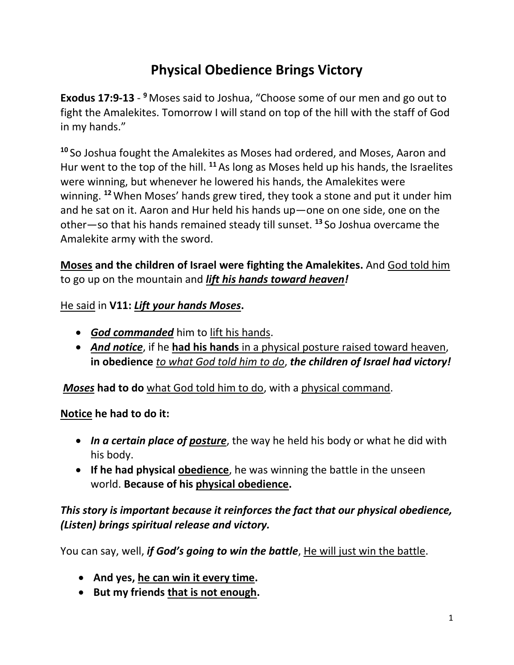# **Physical Obedience Brings Victory**

**Exodus 17:9-13** - **<sup>9</sup>** Moses said to Joshua, "Choose some of our men and go out to fight the Amalekites. Tomorrow I will stand on top of the hill with the staff of God in my hands."

**<sup>10</sup>** So Joshua fought the Amalekites as Moses had ordered, and Moses, Aaron and Hur went to the top of the hill. **<sup>11</sup>** As long as Moses held up his hands, the Israelites were winning, but whenever he lowered his hands, the Amalekites were winning. **<sup>12</sup>**When Moses' hands grew tired, they took a stone and put it under him and he sat on it. Aaron and Hur held his hands up—one on one side, one on the other—so that his hands remained steady till sunset. **<sup>13</sup>** So Joshua overcame the Amalekite army with the sword.

**Moses and the children of Israel were fighting the Amalekites.** And God told him to go up on the mountain and *lift his hands toward heaven!* 

#### He said in **V11:** *Lift your hands Moses***.**

- *God commanded* him to lift his hands.
- *And notice*, if he **had his hands** in a physical posture raised toward heaven, **in obedience** *to what God told him to do*, *the children of Israel had victory!*

*Moses* **had to do** what God told him to do, with a physical command.

#### **Notice he had to do it:**

- *In a certain place of posture*, the way he held his body or what he did with his body.
- **If he had physical obedience**, he was winning the battle in the unseen world. **Because of his physical obedience.**

# *This story is important because it reinforces the fact that our physical obedience, (Listen) brings spiritual release and victory.*

You can say, well, *if God's going to win the battle*, He will just win the battle.

- **And yes, he can win it every time.**
- **But my friends that is not enough.**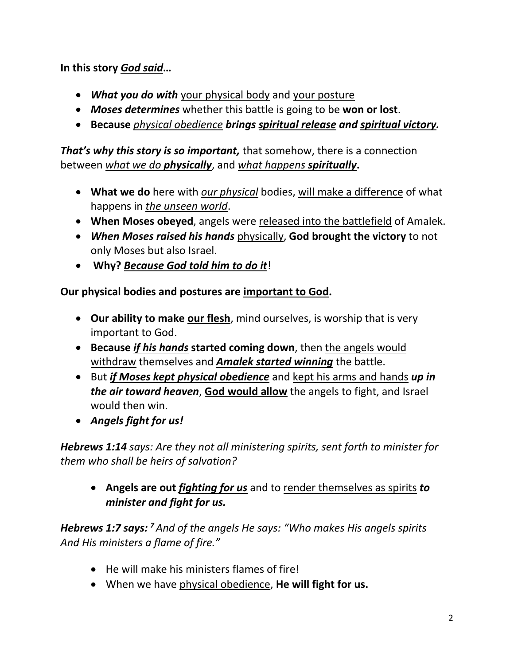**In this story** *God said***…**

- *What you do with* your physical body and your posture
- *Moses determines* whether this battle is going to be **won or lost**.
- **Because** *physical obedience brings spiritual release and spiritual victory.*

*That's why this story is so important,* that somehow, there is a connection between *what we do physically*, and *what happens spiritually***.** 

- **What we do** here with *our physical* bodies, will make a difference of what happens in *the unseen world*.
- **When Moses obeyed**, angels were released into the battlefield of Amalek.
- *When Moses raised his hands* physically, **God brought the victory** to not only Moses but also Israel.
- **Why?** *Because God told him to do it*!

**Our physical bodies and postures are important to God.**

- **Our ability to make our flesh**, mind ourselves, is worship that is very important to God.
- **Because** *if his hands* **started coming down**, then the angels would withdraw themselves and *Amalek started winning* the battle.
- But *if Moses kept physical obedience* and kept his arms and hands *up in the air toward heaven*, **God would allow** the angels to fight, and Israel would then win.
- *Angels fight for us!*

*Hebrews 1:14 says: Are they not all ministering spirits, sent forth to minister for them who shall be heirs of salvation?* 

• **Angels are out** *fighting for us* and to render themselves as spirits *to minister and fight for us.*

*Hebrews 1:7 says: <sup>7</sup> And of the angels He says: "Who makes His angels spirits And His ministers a flame of fire."*

- He will make his ministers flames of fire!
- When we have physical obedience, **He will fight for us.**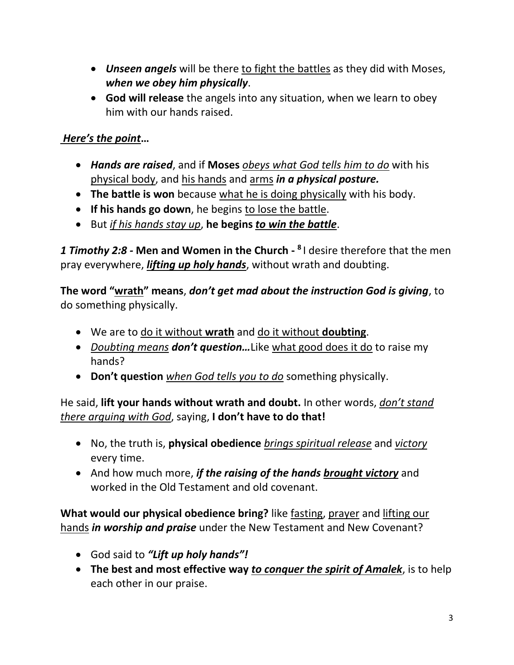- *Unseen angels* will be there to fight the battles as they did with Moses, *when we obey him physically*.
- **God will release** the angels into any situation, when we learn to obey him with our hands raised.

# *Here's the point***…**

- *Hands are raised*, and if **Moses** *obeys what God tells him to do* with his physical body, and his hands and arms *in a physical posture.*
- **The battle is won** because what he is doing physically with his body.
- **If his hands go down**, he begins to lose the battle.
- But *if his hands stay up*, **he begins** *to win the battle*.

*1 Timothy 2:8 -* **Men and Women in the Church - 8** I desire therefore that the men pray everywhere, *lifting up holy hands*, without wrath and doubting.

**The word "wrath" means**, *don't get mad about the instruction God is giving*, to do something physically.

- We are to do it without **wrath** and do it without **doubting**.
- *Doubting means don't question...* Like what good does it do to raise my hands?
- **Don't question** *when God tells you to do* something physically.

He said, **lift your hands without wrath and doubt.** In other words, *don't stand there arguing with God*, saying, **I don't have to do that!** 

- No, the truth is, **physical obedience** *brings spiritual release* and *victory* every time.
- And how much more, *if the raising of the hands brought victory* and worked in the Old Testament and old covenant.

**What would our physical obedience bring?** like fasting, prayer and lifting our hands *in worship and praise* under the New Testament and New Covenant?

- God said to *"Lift up holy hands"!*
- **The best and most effective way** *to conquer the spirit of Amalek*, is to help each other in our praise.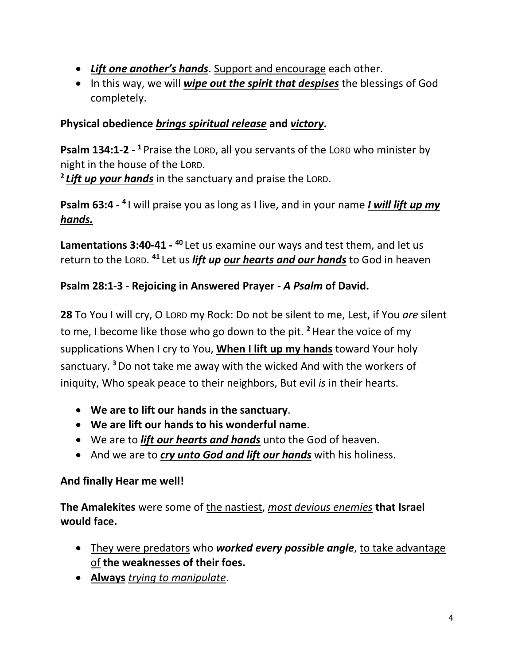- *Lift one another's hands*. Support and encourage each other.
- In this way, we will *wipe out the spirit that despises* the blessings of God completely.

#### **Physical obedience** *brings spiritual release* **and** *victory***.**

**Psalm 134:1-2 - <sup>1</sup>** Praise the LORD, all you servants of the LORD who minister by night in the house of the LORD.

**2** *Lift up your hands* in the sanctuary and praise the LORD.

Psalm 63:4 - <sup>4</sup> I will praise you as long as I live, and in your name *I will lift up my hands.*

Lamentations 3:40-41 - <sup>40</sup> Let us examine our ways and test them, and let us return to the LORD. **<sup>41</sup>** Let us *lift up our hearts and our hands* to God in heaven

#### **Psalm 28:1-3** - **Rejoicing in Answered Prayer -** *A Psalm* **of David.**

**28** To You I will cry, O LORD my Rock: Do not be silent to me, Lest, if You *are* silent to me, I become like those who go down to the pit. **<sup>2</sup>**Hear the voice of my supplications When I cry to You, **When I lift up my hands** toward Your holy sanctuary. **<sup>3</sup>**Do not take me away with the wicked And with the workers of iniquity, Who speak peace to their neighbors, But evil *is* in their hearts.

- **We are to lift our hands in the sanctuary**.
- **We are lift our hands to his wonderful name**.
- We are to *lift our hearts and hands* unto the God of heaven.
- And we are to *cry unto God and lift our hands* with his holiness.

#### **And finally Hear me well!**

**The Amalekites** were some of the nastiest, *most devious enemies* **that Israel would face.**

- They were predators who *worked every possible angle*, to take advantage of **the weaknesses of their foes.**
- **Always** *trying to manipulate*.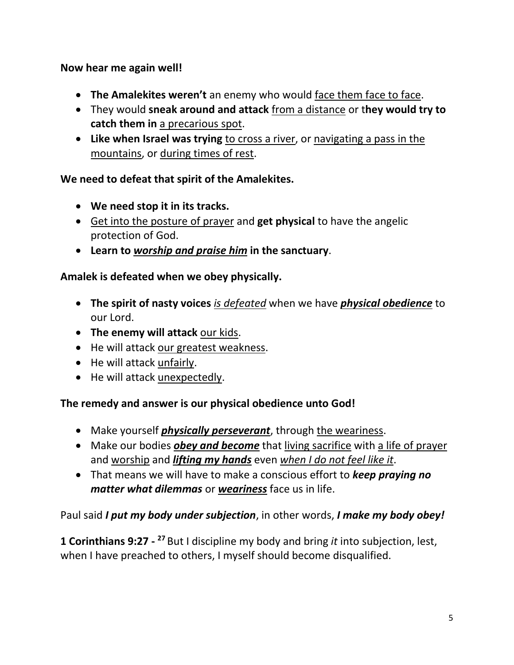**Now hear me again well!** 

- **The Amalekites weren't** an enemy who would face them face to face.
- They would **sneak around and attack** from a distance or t**hey would try to catch them in** a precarious spot.
- **Like when Israel was trying** to cross a river, or navigating a pass in the mountains, or during times of rest.

#### **We need to defeat that spirit of the Amalekites.**

- **We need stop it in its tracks.**
- Get into the posture of prayer and **get physical** to have the angelic protection of God.
- **Learn to** *worship and praise him* **in the sanctuary**.

# **Amalek is defeated when we obey physically.**

- **The spirit of nasty voices** *is defeated* when we have *physical obedience* to our Lord.
- **The enemy will attack** our kids.
- He will attack our greatest weakness.
- He will attack unfairly.
- He will attack unexpectedly.

#### **The remedy and answer is our physical obedience unto God!**

- Make yourself *physically perseverant*, through the weariness.
- Make our bodies *obey and become* that living sacrifice with a life of prayer and worship and *lifting my hands* even *when I do not feel like it*.
- That means we will have to make a conscious effort to *keep praying no matter what dilemmas* or *weariness* face us in life.

Paul said *I put my body under subjection*, in other words, *I make my body obey!* 

**1 Corinthians 9:27** - <sup>27</sup> But I discipline my body and bring *it* into subjection, lest, when I have preached to others, I myself should become disqualified.